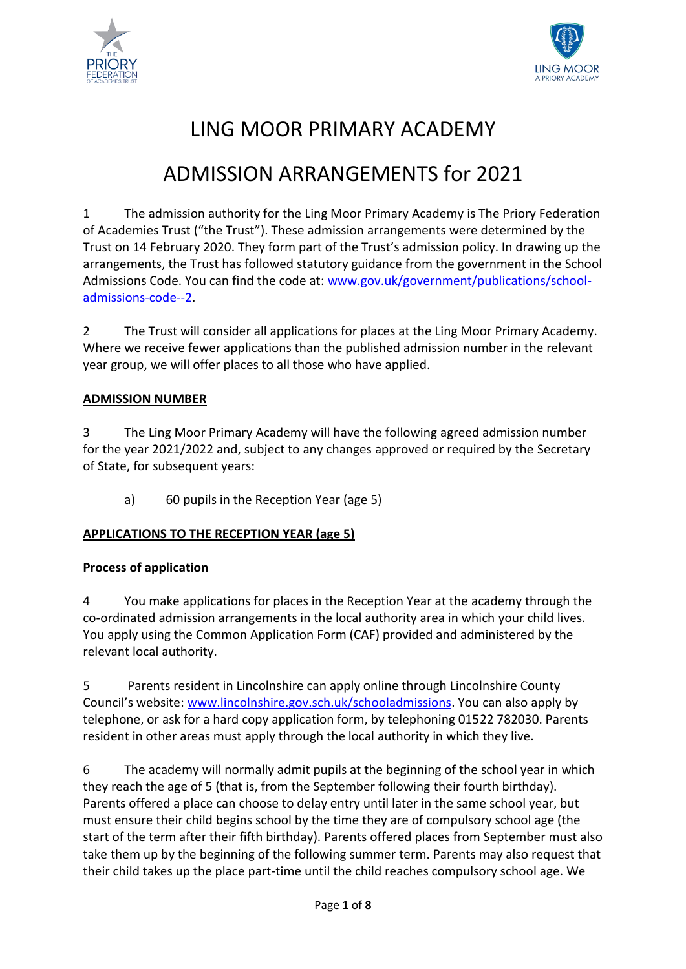



# LING MOOR PRIMARY ACADEMY

# ADMISSION ARRANGEMENTS for 2021

1 The admission authority for the Ling Moor Primary Academy is The Priory Federation of Academies Trust ("the Trust"). These admission arrangements were determined by the Trust on 14 February 2020. They form part of the Trust's admission policy. In drawing up the arrangements, the Trust has followed statutory guidance from the government in the School Admissions Code. You can find the code at: [www.gov.uk/government/publications/school](http://www.gov.uk/government/publications/school-admissions-code--2)[admissions-code--2.](http://www.gov.uk/government/publications/school-admissions-code--2)

2 The Trust will consider all applications for places at the Ling Moor Primary Academy. Where we receive fewer applications than the published admission number in the relevant year group, we will offer places to all those who have applied.

#### **ADMISSION NUMBER**

3 The Ling Moor Primary Academy will have the following agreed admission number for the year 2021/2022 and, subject to any changes approved or required by the Secretary of State, for subsequent years:

a) 60 pupils in the Reception Year (age 5)

# **APPLICATIONS TO THE RECEPTION YEAR (age 5)**

# **Process of application**

4 You make applications for places in the Reception Year at the academy through the co-ordinated admission arrangements in the local authority area in which your child lives. You apply using the Common Application Form (CAF) provided and administered by the relevant local authority.

5 Parents resident in Lincolnshire can apply online through Lincolnshire County Council's website: [www.lincolnshire.gov.sch.uk/schooladmissions.](http://www.lincolnshire.gov.sch.uk/schooladmissions) You can also apply by telephone, or ask for a hard copy application form, by telephoning 01522 782030. Parents resident in other areas must apply through the local authority in which they live.

6 The academy will normally admit pupils at the beginning of the school year in which they reach the age of 5 (that is, from the September following their fourth birthday). Parents offered a place can choose to delay entry until later in the same school year, but must ensure their child begins school by the time they are of compulsory school age (the start of the term after their fifth birthday). Parents offered places from September must also take them up by the beginning of the following summer term. Parents may also request that their child takes up the place part-time until the child reaches compulsory school age. We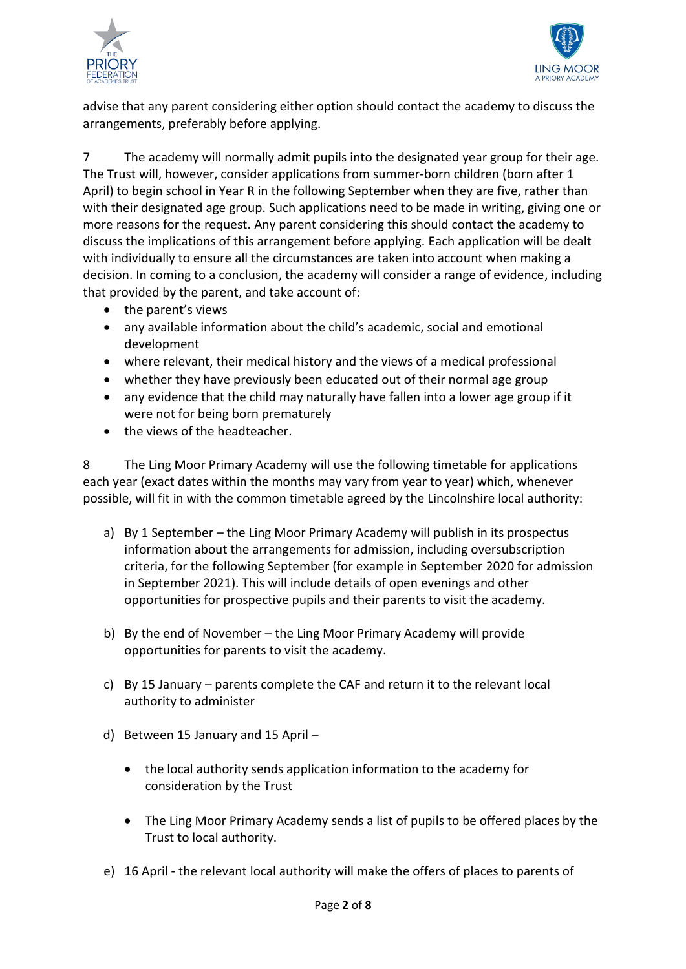



advise that any parent considering either option should contact the academy to discuss the arrangements, preferably before applying.

7 The academy will normally admit pupils into the designated year group for their age. The Trust will, however, consider applications from summer-born children (born after 1 April) to begin school in Year R in the following September when they are five, rather than with their designated age group. Such applications need to be made in writing, giving one or more reasons for the request. Any parent considering this should contact the academy to discuss the implications of this arrangement before applying. Each application will be dealt with individually to ensure all the circumstances are taken into account when making a decision. In coming to a conclusion, the academy will consider a range of evidence, including that provided by the parent, and take account of:

- the parent's views
- any available information about the child's academic, social and emotional development
- where relevant, their medical history and the views of a medical professional
- whether they have previously been educated out of their normal age group
- any evidence that the child may naturally have fallen into a lower age group if it were not for being born prematurely
- the views of the headteacher.

8 The Ling Moor Primary Academy will use the following timetable for applications each year (exact dates within the months may vary from year to year) which, whenever possible, will fit in with the common timetable agreed by the Lincolnshire local authority:

- a) By 1 September the Ling Moor Primary Academy will publish in its prospectus information about the arrangements for admission, including oversubscription criteria, for the following September (for example in September 2020 for admission in September 2021). This will include details of open evenings and other opportunities for prospective pupils and their parents to visit the academy.
- b) By the end of November the Ling Moor Primary Academy will provide opportunities for parents to visit the academy.
- c) By 15 January parents complete the CAF and return it to the relevant local authority to administer
- d) Between 15 January and 15 April
	- the local authority sends application information to the academy for consideration by the Trust
	- The Ling Moor Primary Academy sends a list of pupils to be offered places by the Trust to local authority.
- e) 16 April the relevant local authority will make the offers of places to parents of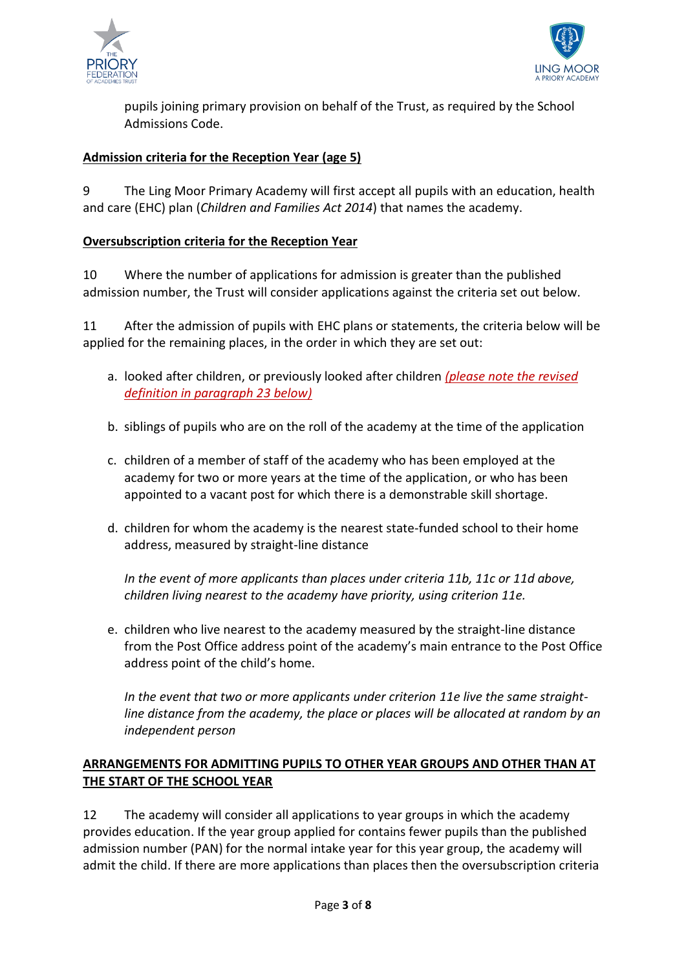



pupils joining primary provision on behalf of the Trust, as required by the School Admissions Code.

### **Admission criteria for the Reception Year (age 5)**

9 The Ling Moor Primary Academy will first accept all pupils with an education, health and care (EHC) plan (*Children and Families Act 2014*) that names the academy.

#### **Oversubscription criteria for the Reception Year**

10 Where the number of applications for admission is greater than the published admission number, the Trust will consider applications against the criteria set out below.

11 After the admission of pupils with EHC plans or statements, the criteria below will be applied for the remaining places, in the order in which they are set out:

- a. looked after children, or previously looked after children *(please note the revised definition in paragraph 23 below)*
- b. siblings of pupils who are on the roll of the academy at the time of the application
- c. children of a member of staff of the academy who has been employed at the academy for two or more years at the time of the application, or who has been appointed to a vacant post for which there is a demonstrable skill shortage.
- d. children for whom the academy is the nearest state-funded school to their home address, measured by straight-line distance

*In the event of more applicants than places under criteria 11b, 11c or 11d above, children living nearest to the academy have priority, using criterion 11e.*

e. children who live nearest to the academy measured by the straight-line distance from the Post Office address point of the academy's main entrance to the Post Office address point of the child's home.

*In the event that two or more applicants under criterion 11e live the same straightline distance from the academy, the place or places will be allocated at random by an independent person*

#### **ARRANGEMENTS FOR ADMITTING PUPILS TO OTHER YEAR GROUPS AND OTHER THAN AT THE START OF THE SCHOOL YEAR**

12 The academy will consider all applications to year groups in which the academy provides education. If the year group applied for contains fewer pupils than the published admission number (PAN) for the normal intake year for this year group, the academy will admit the child. If there are more applications than places then the oversubscription criteria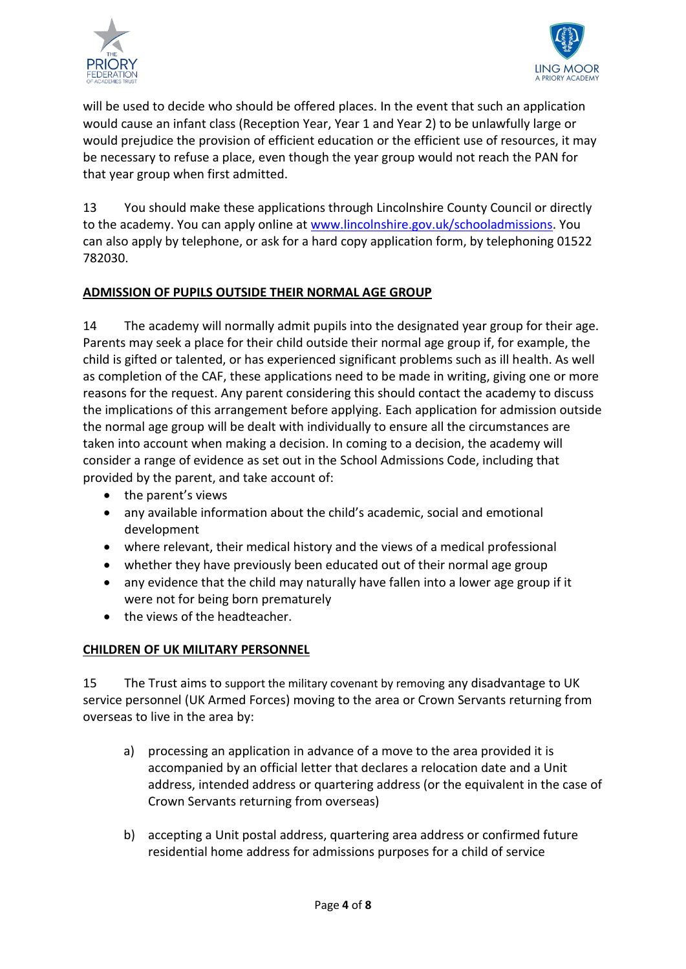



will be used to decide who should be offered places. In the event that such an application would cause an infant class (Reception Year, Year 1 and Year 2) to be unlawfully large or would prejudice the provision of efficient education or the efficient use of resources, it may be necessary to refuse a place, even though the year group would not reach the PAN for that year group when first admitted.

13 You should make these applications through Lincolnshire County Council or directly to the academy. You can apply online at [www.lincolnshire.gov.uk/schooladmissions.](http://www.lincolnshire.gov.uk/schooladmissions) You can also apply by telephone, or ask for a hard copy application form, by telephoning 01522 782030.

# **ADMISSION OF PUPILS OUTSIDE THEIR NORMAL AGE GROUP**

14 The academy will normally admit pupils into the designated year group for their age. Parents may seek a place for their child outside their normal age group if, for example, the child is gifted or talented, or has experienced significant problems such as ill health. As well as completion of the CAF, these applications need to be made in writing, giving one or more reasons for the request. Any parent considering this should contact the academy to discuss the implications of this arrangement before applying. Each application for admission outside the normal age group will be dealt with individually to ensure all the circumstances are taken into account when making a decision. In coming to a decision, the academy will consider a range of evidence as set out in the School Admissions Code, including that provided by the parent, and take account of:

- the parent's views
- any available information about the child's academic, social and emotional development
- where relevant, their medical history and the views of a medical professional
- whether they have previously been educated out of their normal age group
- any evidence that the child may naturally have fallen into a lower age group if it were not for being born prematurely
- the views of the headteacher.

#### **CHILDREN OF UK MILITARY PERSONNEL**

15 The Trust aims to support the military covenant by removing any disadvantage to UK service personnel (UK Armed Forces) moving to the area or Crown Servants returning from overseas to live in the area by:

- a) processing an application in advance of a move to the area provided it is accompanied by an official letter that declares a relocation date and a Unit address, intended address or quartering address (or the equivalent in the case of Crown Servants returning from overseas)
- b) accepting a Unit postal address, quartering area address or confirmed future residential home address for admissions purposes for a child of service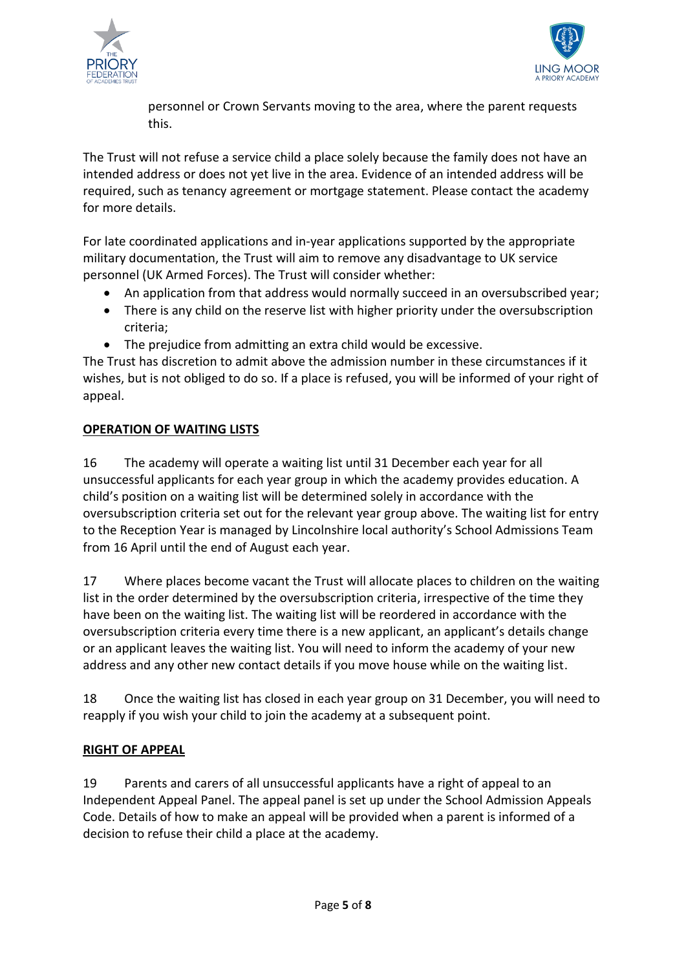



personnel or Crown Servants moving to the area, where the parent requests this.

The Trust will not refuse a service child a place solely because the family does not have an intended address or does not yet live in the area. Evidence of an intended address will be required, such as tenancy agreement or mortgage statement. Please contact the academy for more details.

For late coordinated applications and in-year applications supported by the appropriate military documentation, the Trust will aim to remove any disadvantage to UK service personnel (UK Armed Forces). The Trust will consider whether:

- An application from that address would normally succeed in an oversubscribed year;
- There is any child on the reserve list with higher priority under the oversubscription criteria;
- The prejudice from admitting an extra child would be excessive.

The Trust has discretion to admit above the admission number in these circumstances if it wishes, but is not obliged to do so. If a place is refused, you will be informed of your right of appeal.

# **OPERATION OF WAITING LISTS**

16 The academy will operate a waiting list until 31 December each year for all unsuccessful applicants for each year group in which the academy provides education. A child's position on a waiting list will be determined solely in accordance with the oversubscription criteria set out for the relevant year group above. The waiting list for entry to the Reception Year is managed by Lincolnshire local authority's School Admissions Team from 16 April until the end of August each year.

17 Where places become vacant the Trust will allocate places to children on the waiting list in the order determined by the oversubscription criteria, irrespective of the time they have been on the waiting list. The waiting list will be reordered in accordance with the oversubscription criteria every time there is a new applicant, an applicant's details change or an applicant leaves the waiting list. You will need to inform the academy of your new address and any other new contact details if you move house while on the waiting list.

18 Once the waiting list has closed in each year group on 31 December, you will need to reapply if you wish your child to join the academy at a subsequent point.

# **RIGHT OF APPEAL**

19 Parents and carers of all unsuccessful applicants have a right of appeal to an Independent Appeal Panel. The appeal panel is set up under the School Admission Appeals Code. Details of how to make an appeal will be provided when a parent is informed of a decision to refuse their child a place at the academy.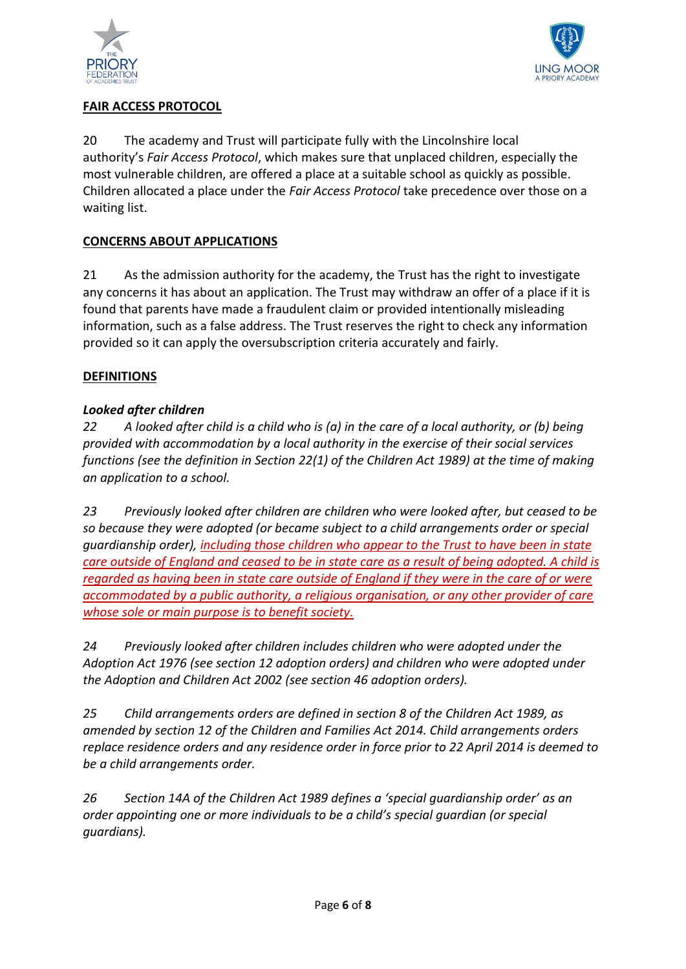



# **FAIR ACCESS PROTOCOL**

20 The academy and Trust will participate fully with the Lincolnshire local authority's *Fair Access Protocol*, which makes sure that unplaced children, especially the most vulnerable children, are offered a place at a suitable school as quickly as possible. Children allocated a place under the *Fair Access Protocol* take precedence over those on a waiting list.

# **CONCERNS ABOUT APPLICATIONS**

21 As the admission authority for the academy, the Trust has the right to investigate any concerns it has about an application. The Trust may withdraw an offer of a place if it is found that parents have made a fraudulent claim or provided intentionally misleading information, such as a false address. The Trust reserves the right to check any information provided so it can apply the oversubscription criteria accurately and fairly.

#### **DEFINITIONS**

#### *Looked after children*

*22 A looked after child is a child who is (a) in the care of a local authority, or (b) being provided with accommodation by a local authority in the exercise of their social services functions (see the definition in Section 22(1) of the Children Act 1989) at the time of making an application to a school.*

*23 Previously looked after children are children who were looked after, but ceased to be so because they were adopted (or became subject to a child arrangements order or special guardianship order), including those children who appear to the Trust to have been in state care outside of England and ceased to be in state care as a result of being adopted. A child is regarded as having been in state care outside of England if they were in the care of or were accommodated by a public authority, a religious organisation, or any other provider of care whose sole or main purpose is to benefit society.*

*24 Previously looked after children includes children who were adopted under the Adoption Act 1976 (see section 12 adoption orders) and children who were adopted under the Adoption and Children Act 2002 (see section 46 adoption orders).* 

*25 Child arrangements orders are defined in section 8 of the Children Act 1989, as amended by section 12 of the Children and Families Act 2014. Child arrangements orders replace residence orders and any residence order in force prior to 22 April 2014 is deemed to be a child arrangements order.* 

*26 Section 14A of the Children Act 1989 defines a 'special guardianship order' as an order appointing one or more individuals to be a child's special guardian (or special guardians).*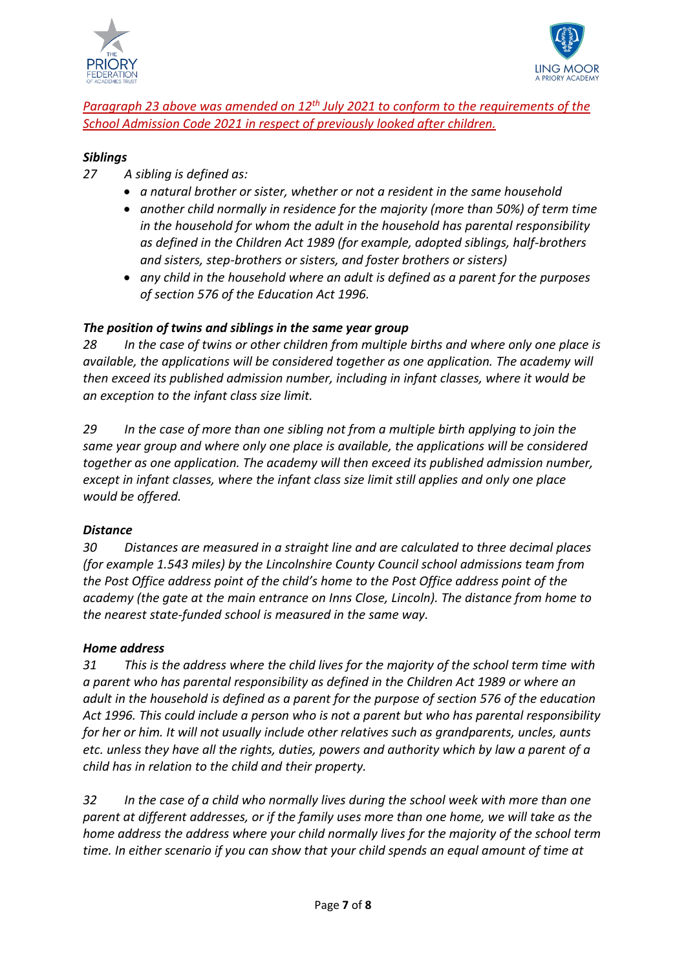



# Paragraph 23 above was amended on 12<sup>th</sup> July 2021 to conform to the requirements of the *School Admission Code 2021 in respect of previously looked after children.*

### *Siblings*

- *27 A sibling is defined as:*
	- *a natural brother or sister, whether or not a resident in the same household*
	- *another child normally in residence for the majority (more than 50%) of term time in the household for whom the adult in the household has parental responsibility as defined in the Children Act 1989 (for example, adopted siblings, half-brothers and sisters, step-brothers or sisters, and foster brothers or sisters)*
	- *any child in the household where an adult is defined as a parent for the purposes of section 576 of the Education Act 1996.*

# *The position of twins and siblings in the same year group*

*28 In the case of twins or other children from multiple births and where only one place is available, the applications will be considered together as one application. The academy will then exceed its published admission number, including in infant classes, where it would be an exception to the infant class size limit.*

*29 In the case of more than one sibling not from a multiple birth applying to join the same year group and where only one place is available, the applications will be considered together as one application. The academy will then exceed its published admission number, except in infant classes, where the infant class size limit still applies and only one place would be offered.*

# *Distance*

*30 Distances are measured in a straight line and are calculated to three decimal places (for example 1.543 miles) by the Lincolnshire County Council school admissions team from the Post Office address point of the child's home to the Post Office address point of the academy (the gate at the main entrance on Inns Close, Lincoln). The distance from home to the nearest state-funded school is measured in the same way.*

#### *Home address*

*31 This is the address where the child lives for the majority of the school term time with a parent who has parental responsibility as defined in the Children Act 1989 or where an adult in the household is defined as a parent for the purpose of section 576 of the education Act 1996. This could include a person who is not a parent but who has parental responsibility for her or him. It will not usually include other relatives such as grandparents, uncles, aunts etc. unless they have all the rights, duties, powers and authority which by law a parent of a child has in relation to the child and their property.*

*32 In the case of a child who normally lives during the school week with more than one parent at different addresses, or if the family uses more than one home, we will take as the home address the address where your child normally lives for the majority of the school term time. In either scenario if you can show that your child spends an equal amount of time at*